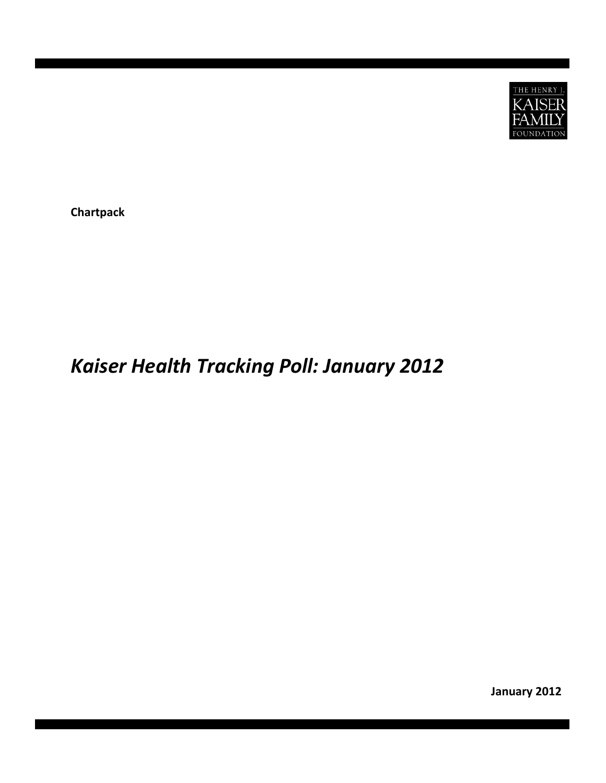

**Chartpack**

## *Kaiser Health Tracking Poll: January 2012*

**January 2012**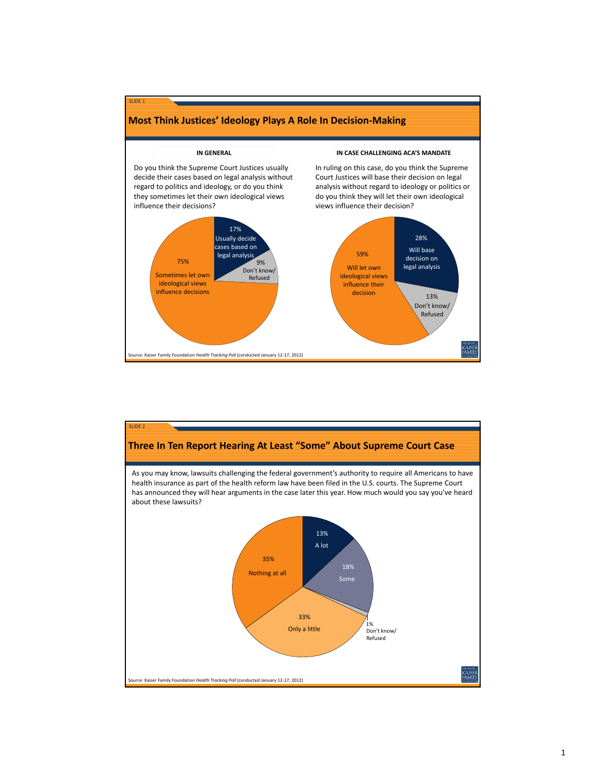

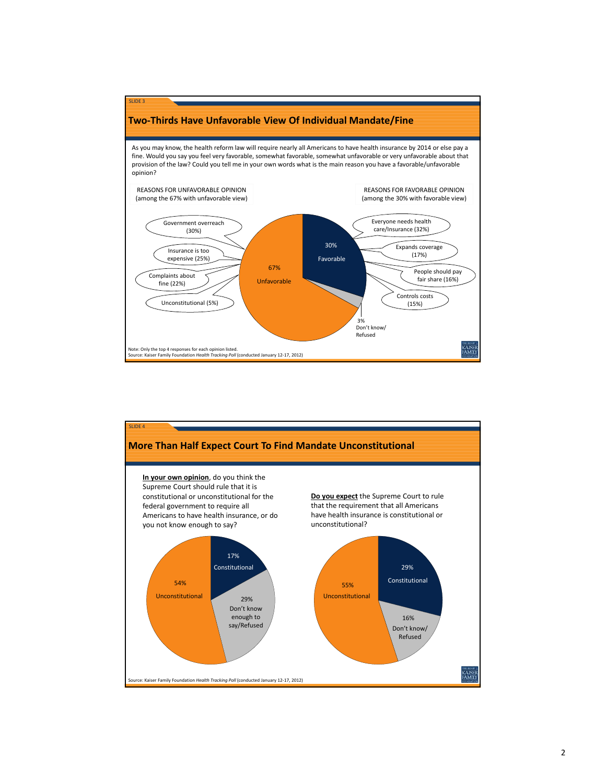

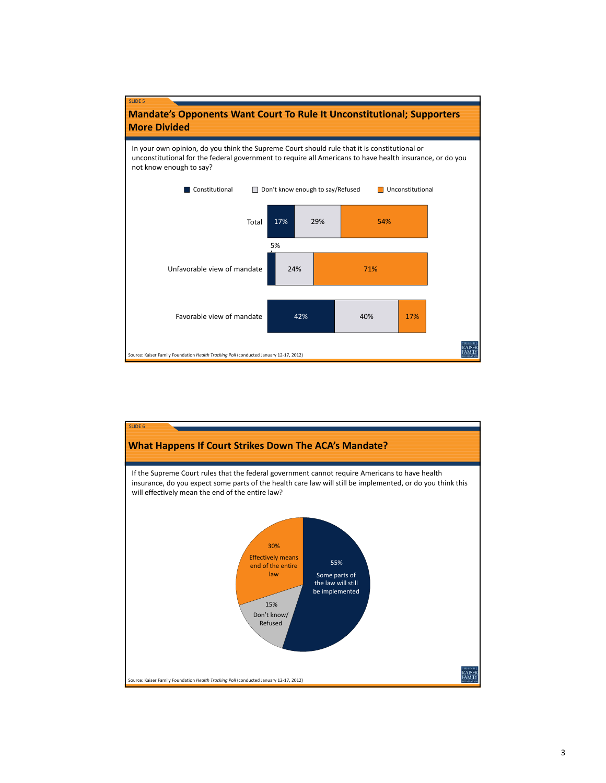

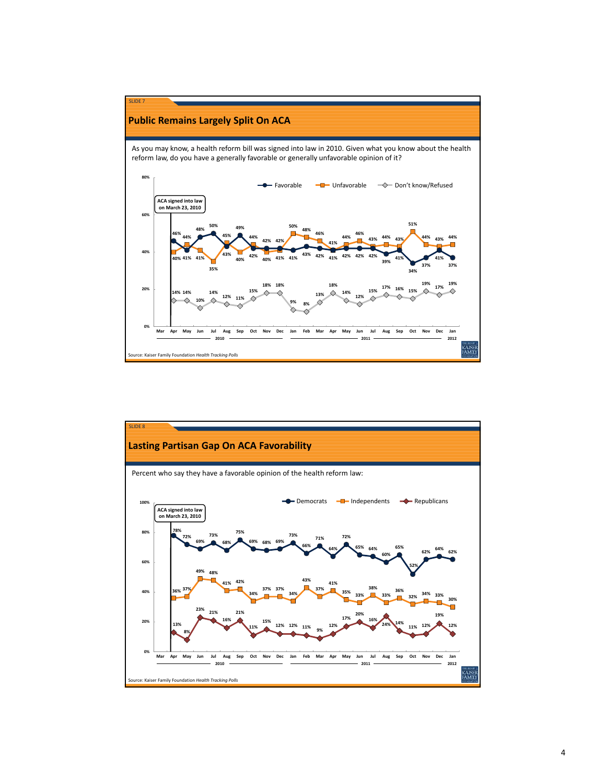

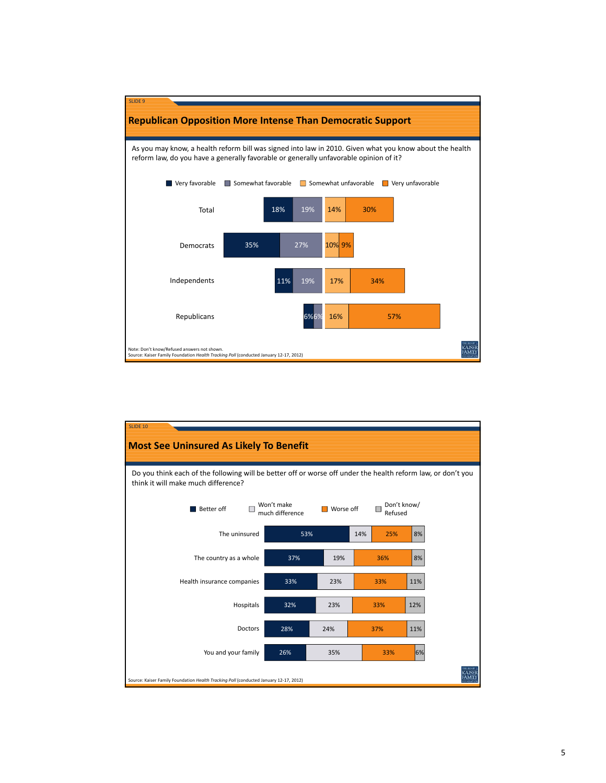

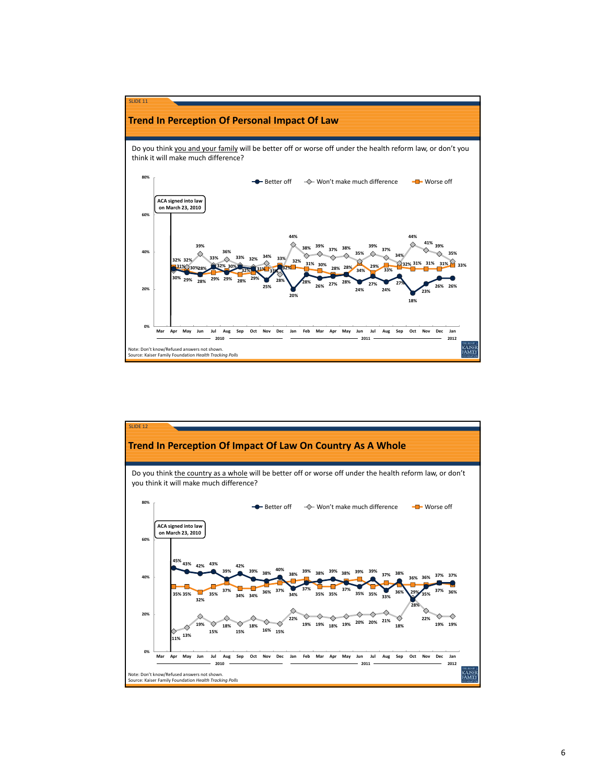

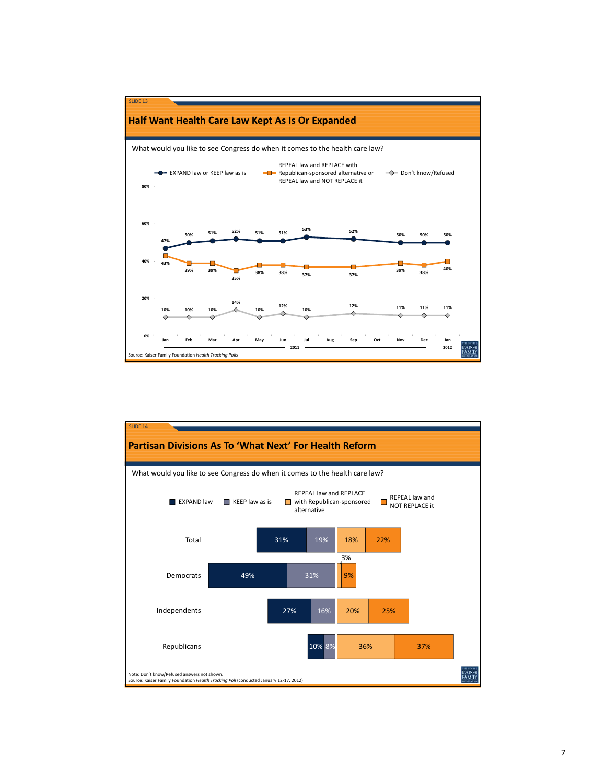

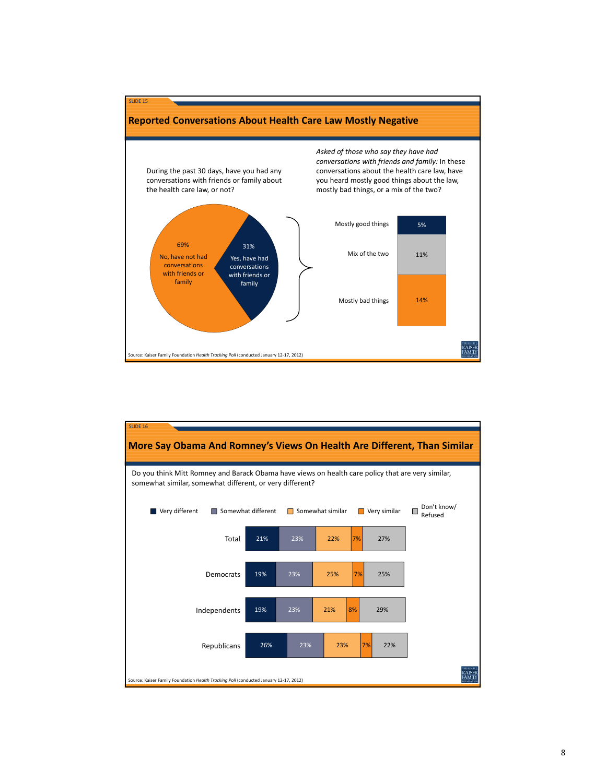

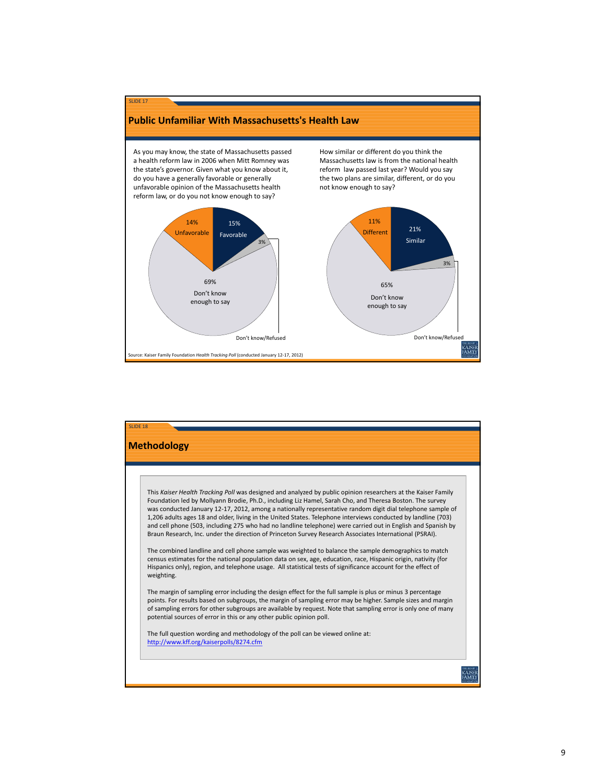